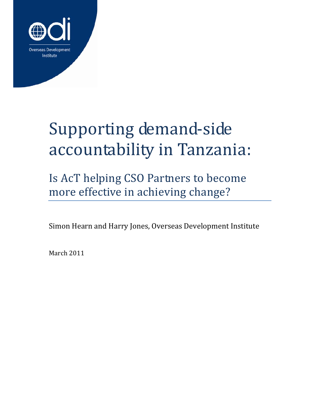

# Supporting demand‐side accountability in Tanzania:

Is AcT helping CSO Partners to become more effective in achieving change?

Simon Hearn and Harry Jones, Overseas Development Institute

March 2011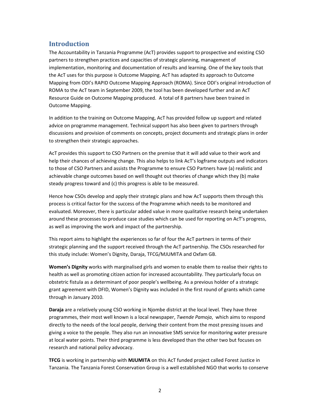## **Introduction**

The Accountability in Tanzania Programme (AcT) provides support to prospective and existing CSO partners to strengthen practices and capacities of strategic planning, management of implementation, monitoring and documentation of results and learning. One of the key tools that the AcT uses for this purpose is Outcome Mapping. AcT has adapted its approach to Outcome Mapping from ODI's RAPID Outcome Mapping Approach (ROMA). Since ODI's original introduction of ROMA to the AcT team in September 2009, the tool has been developed further and an AcT Resource Guide on Outcome Mapping produced. A total of 8 partners have been trained in Outcome Mapping.

In addition to the training on Outcome Mapping, AcT has provided follow up support and related advice on programme management. Technical support has also been given to partners through discussions and provision of comments on concepts, project documents and strategic plans in order to strengthen their strategic approaches.

AcT provides this support to CSO Partners on the premise that it will add value to their work and help their chances of achieving change. This also helps to link AcT's logframe outputs and indicators to those of CSO Partners and assists the Programme to ensure CSO Partners have (a) realistic and achievable change outcomes based on well thought out theories of change which they (b) make steady progress toward and (c) this progress is able to be measured.

Hence how CSOs develop and apply their strategic plans and how AcT supports them through this process is critical factor for the success of the Programme which needs to be monitored and evaluated. Moreover, there is particular added value in more qualitative research being undertaken around these processes to produce case studies which can be used for reporting on AcT's progress, as well as improving the work and impact of the partnership.

This report aims to highlight the experiences so far of four the AcT partners in terms of their strategic planning and the support received through the AcT partnership. The CSOs researched for this study include: Women's Dignity, Daraja, TFCG/MJUMITA and Oxfam GB.

**Women's Dignity** works with marginalised girls and women to enable them to realise their rights to health as well as promoting citizen action for increased accountability. They particularly focus on obstetric fistula as a determinant of poor people's wellbeing. As a previous holder of a strategic grant agreement with DFID, Women's Dignity was included in the first round of grants which came through in January 2010.

**Daraja** are a relatively young CSO working in Njombe district at the local level. They have three programmes, their most well known is a local newspaper, *Twende Pamoja*, which aims to respond directly to the needs of the local people, deriving their content from the most pressing issues and giving a voice to the people. They also run an innovative SMS service for monitoring water pressure at local water points. Their third programme is less developed than the other two but focuses on research and national policy advocacy.

**TFCG** is working in partnership with **MJUMITA** on this AcT funded project called Forest Justice in Tanzania. The Tanzania Forest Conservation Group is a well established NGO that works to conserve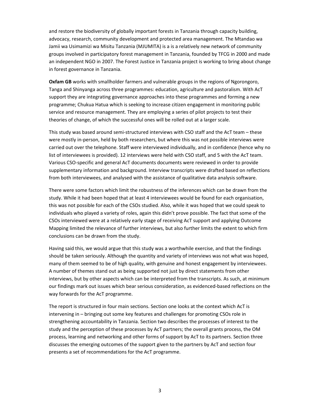and restore the biodiversity of globally important forests in Tanzania through capacity building, advocacy, research, community development and protected area management. The Mtandao wa Jamii wa Usimamizi wa Misitu Tanzania (MJUMITA) is a is a relatively new network of community groups involved in participatory forest management in Tanzania, founded by TFCG in 2000 and made an independent NGO in 2007. The Forest Justice in Tanzania project is working to bring about change in forest governance in Tanzania.

**Oxfam GB** works with smallholder farmers and vulnerable groups in the regions of Ngorongoro, Tanga and Shinyanga across three programmes: education, agriculture and pastoralism. With AcT support they are integrating governance approaches into these programmes and forming a new programme; Chukua Hatua which is seeking to increase citizen engagement in monitoring public service and resource management. They are employing a series of pilot projects to test their theories of change, of which the successful ones will be rolled out at a larger scale.

This study was based around semi‐structured interviews with CSO staff and the AcT team – these were mostly in-person, held by both researchers, but where this was not possible interviews were carried out over the telephone. Staff were interviewed individually, and in confidence (hence why no list of interviewees is provided). 12 interviews were held with CSO staff, and 5 with the AcT team. Various CSO‐specific and general AcT documents documents were reviewed in order to provide supplementary information and background. Interview transcripts were drafted based on reflections from both interviewees, and analysed with the assistance of qualitative data analysis software.

There were some factors which limit the robustness of the inferences which can be drawn from the study. While it had been hoped that at least 4 interviewees would be found for each organisation, this was not possible for each of the CSOs studied. Also, while it was hoped that we could speak to individuals who played a variety of roles, again this didn't prove possible. The fact that some of the CSOs interviewed were at a relatively early stage of receiving AcT support and applying Outcome Mapping limited the relevance of further interviews, but also further limits the extent to which firm conclusions can be drawn from the study.

Having said this, we would argue that this study was a worthwhile exercise, and that the findings should be taken seriously. Although the quantity and variety of interviews was not what was hoped, many of them seemed to be of high quality, with genuine and honest engagement by interviewees. A number of themes stand out as being supported not just by direct statements from other interviews, but by other aspects which can be interpreted from the transcripts. As such, at minimum our findings mark out issues which bear serious consideration, as evidenced‐based reflections on the way forwards for the AcT programme.

The report is structured in four main sections. Section one looks at the context which AcT is intervening in – bringing out some key features and challenges for promoting CSOs role in strengthening accountability in Tanzania. Section two describes the processes of interest to the study and the perception of these processes by AcT partners; the overall grants process, the OM process, learning and networking and other forms of support by AcT to its partners. Section three discusses the emerging outcomes of the support given to the partners by AcT and section four presents a set of recommendations for the AcT programme.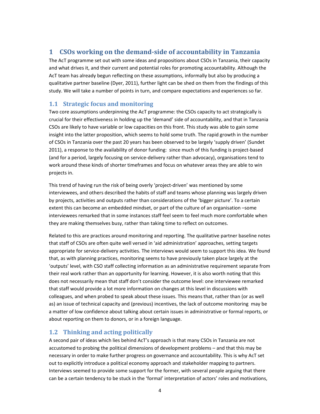# **1 CSOs working on the demand‐side of accountability in Tanzania**

The AcT programme set out with some ideas and propositions about CSOs in Tanzania, their capacity and what drives it, and their current and potential roles for promoting accountability. Although the AcT team has already begun reflecting on these assumptions, informally but also by producing a qualitative partner baseline (Dyer, 2011), further light can be shed on them from the findings of this study. We will take a number of points in turn, and compare expectations and experiences so far.

#### **1.1 Strategic focus and monitoring**

Two core assumptions underpinning the AcT programme: the CSOs capacity to act strategically is crucial for their effectiveness in holding up the 'demand' side of accountability, and that in Tanzania CSOs are likely to have variable or low capacities on this front. This study was able to gain some insight into the latter proposition, which seems to hold some truth. The rapid growth in the number of CSOs in Tanzania over the past 20 years has been observed to be largely 'supply driven' (Sundet 2011), a response to the availability of donor funding: since much of this funding is project-based (and for a period, largely focusing on service‐delivery rather than advocacy), organisations tend to work around these kinds of shorter timeframes and focus on whatever areas they are able to win projects in.

This trend of having run the risk of being overly 'project-driven' was mentioned by some interviewees, and others described the habits of staff and teams whose planning was largely driven by projects, activities and outputs rather than considerations of the 'bigger picture'. To a certain extent this can become an embedded mindset, or part of the culture of an organisation –some interviewees remarked that in some instances staff feel seem to feel much more comfortable when they are making themselves busy, rather than taking time to reflect on outcomes.

Related to this are practices around monitoring and reporting. The qualitative partner baseline notes that staff of CSOs are often quite well versed in 'aid administration' approaches, setting targets appropriate for service‐delivery activities. The interviews would seem to support this idea. We found that, as with planning practices, monitoring seems to have previously taken place largely at the 'outputs' level, with CSO staff collecting information as an administrative requirement separate from their real work rather than an opportunity for learning. However, it is also worth noting that this does not necessarily mean that staff don't consider the outcome level: one interviewee remarked that staff would provide a lot more information on changes at this level in discussions with colleagues, and when probed to speak about these issues. This means that, rather than (or as well as) an issue of technical capacity and (previous) incentives, the lack of outcome monitoring may be a matter of low confidence about talking about certain issues in administrative or formal reports, or about reporting on them to donors, or in a foreign language.

# **1.2 Thinking and acting politically**

A second pair of ideas which lies behind AcT's approach is that many CSOs in Tanzania are not accustomed to probing the political dimensions of development problems – and that this may be necessary in order to make further progress on governance and accountability. This is why AcT set out to explicitly introduce a political economy approach and stakeholder mapping to partners. Interviews seemed to provide some support for the former, with several people arguing that there can be a certain tendency to be stuck in the 'formal' interpretation of actors' roles and motivations,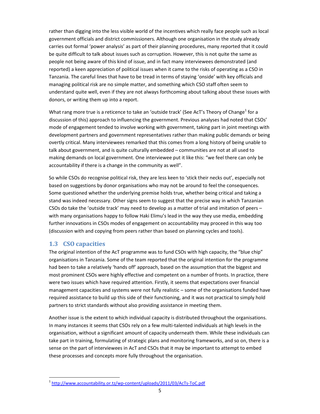rather than digging into the less visible world of the incentives which really face people such as local government officials and district commissioners. Although one organisation in the study already carries out formal 'power analysis' as part of their planning procedures, many reported that it could be quite difficult to talk about issues such as corruption. However, this is not quite the same as people not being aware of this kind of issue, and in fact many interviewees demonstrated (and reported) a keen appreciation of political issues when it came to the risks of operating as a CSO in Tanzania. The careful lines that have to be tread in terms of staying 'onside' with key officials and managing political risk are no simple matter, and something which CSO staff often seem to understand quite well, even if they are not always forthcoming about talking about these issues with donors, or writing them up into a report.

What rang more true is a reticence to take an 'outside track' (See AcT's Theory of Change<sup>1</sup> for a discussion of this) approach to influencing the government. Previous analyses had noted that CSOs' mode of engagement tended to involve working with government, taking part in joint meetings with development partners and government representatives rather than making public demands or being overtly critical. Many interviewees remarked that this comes from a long history of being unable to talk about government, and is quite culturally embedded – communities are not at all used to making demands on local government. One interviewee put it like this: "we feel there can only be accountability if there is a change in the community as well".

So while CSOs do recognise political risk, they are less keen to 'stick their necks out', especially not based on suggestions by donor organisations who may not be around to feel the consequences. Some questioned whether the underlying premise holds true, whether being critical and taking a stand was indeed necessary. Other signs seem to suggest that the precise way in which Tanzanian CSOs do take the 'outside track' may need to develop as a matter of trial and imitation of peers – with many organisations happy to follow Haki Elimu's lead in the way they use media, embedding further innovations in CSOs modes of engagement on accountability may proceed in this way too (discussion with and copying from peers rather than based on planning cycles and tools).

#### **1.3 CSO capacities**

The original intention of the AcT programme was to fund CSOs with high capacity, the "blue chip" organisations in Tanzania. Some of the team reported that the original intention for the programme had been to take a relatively 'hands off' approach, based on the assumption that the biggest and most prominent CSOs were highly effective and competent on a number of fronts. In practice, there were two issues which have required attention. Firstly, it seems that expectations over financial management capacities and systems were not fully realistic – some of the organisations funded have required assistance to build up this side of their functioning, and it was not practical to simply hold partners to strict standards without also providing assistance in meeting them.

Another issue is the extent to which individual capacity is distributed throughout the organisations. In many instances it seems that CSOs rely on a few multi-talented individuals at high levels in the organisation, without a significant amount of capacity underneath them. While these individuals can take part in training, formulating of strategic plans and monitoring frameworks, and so on, there is a sense on the part of interviewees in AcT and CSOs that it may be important to attempt to embed these processes and concepts more fully throughout the organisation.

<sup>1</sup> http://www.accountability.or.tz/wp-content/uploads/2011/03/AcTs-ToC.pdf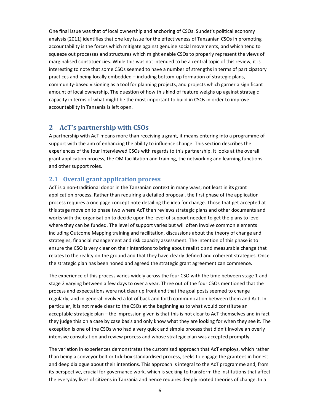One final issue was that of local ownership and anchoring of CSOs. Sundet's political economy analysis (2011) identifies that one key issue for the effectiveness of Tanzanian CSOs in promoting accountability is the forces which mitigate against genuine social movements, and which tend to squeeze out processes and structures which might enable CSOs to properly represent the views of marginalised constituencies. While this was not intended to be a central topic of this review, it is interesting to note that some CSOs seemed to have a number of strengths in terms of participatory practices and being locally embedded – including bottom‐up formation of strategic plans, community‐based visioning as a tool for planning projects, and projects which garner a significant amount of local ownership. The question of how this kind of feature weighs up against strategic capacity in terms of what might be the most important to build in CSOs in order to improve accountability in Tanzania is left open.

#### **2 AcT's partnership with CSOs**

A partnership with AcT means more than receiving a grant, it means entering into a programme of support with the aim of enhancing the ability to influence change. This section describes the experiences of the four interviewed CSOs with regards to this partnership. It looks at the overall grant application process, the OM facilitation and training, the networking and learning functions and other support roles.

#### **2.1 Overall grant application process**

AcT is a non-traditional donor in the Tanzanian context in many ways; not least in its grant application process. Rather than requiring a detailed proposal, the first phase of the application process requires a one page concept note detailing the idea for change. Those that get accepted at this stage move on to phase two where AcT then reviews strategic plans and other documents and works with the organisation to decide upon the level of support needed to get the plans to level where they can be funded. The level of support varies but will often involve common elements including Outcome Mapping training and facilitation, discussions about the theory of change and strategies, financial management and risk capacity assessment. The intention of this phase is to ensure the CSO is very clear on their intentions to bring about realistic and measurable change that relates to the reality on the ground and that they have clearly defined and coherent strategies. Once the strategic plan has been honed and agreed the strategic grant agreement can commence.

The experience of this process varies widely across the four CSO with the time between stage 1 and stage 2 varying between a few days to over a year. Three out of the four CSOs mentioned that the process and expectations were not clear up front and that the goal posts seemed to change regularly, and in general involved a lot of back and forth communication between them and AcT. In particular, it is not made clear to the CSOs at the beginning as to what would constitute an acceptable strategic plan – the impression given is that this is not clear to AcT themselves and in fact they judge this on a case by case basis and only know what they are looking for when they see it. The exception is one of the CSOs who had a very quick and simple process that didn't involve an overly intensive consultation and review process and whose strategic plan was accepted promptly.

The variation in experiences demonstrates the customised approach that AcT employs, which rather than being a conveyor belt or tick‐box standardised process, seeks to engage the grantees in honest and deep dialogue about their intentions. This approach is integral to the AcT programme and, from its perspective, crucial for governance work, which is seeking to transform the institutions that affect the everyday lives of citizens in Tanzania and hence requires deeply rooted theories of change. In a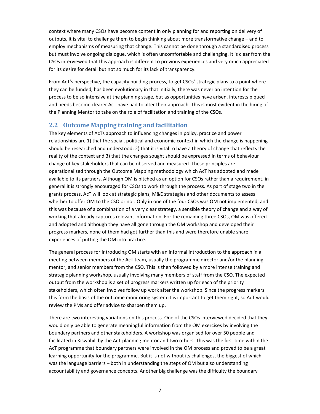context where many CSOs have become content in only planning for and reporting on delivery of outputs, it is vital to challenge them to begin thinking about more transformative change – and to employ mechanisms of measuring that change. This cannot be done through a standardised process but must involve ongoing dialogue, which is often uncomfortable and challenging. It is clear from the CSOs interviewed that this approach is different to previous experiences and very much appreciated for its desire for detail but not so much for its lack of transparency.

From AcT's perspective, the capacity building process, to get CSOs' strategic plans to a point where they can be funded, has been evolutionary in that initially, there was never an intention for the process to be so intensive at the planning stage, but as opportunities have arisen, interests piqued and needs become clearer AcT have had to alter their approach. This is most evident in the hiring of the Planning Mentor to take on the role of facilitation and training of the CSOs.

#### **2.2 Outcome Mapping training and facilitation**

The key elements of AcTs approach to influencing changes in policy, practice and power relationships are 1) that the social, political and economic context in which the change is happening should be researched and understood; 2) that it is vital to have a theory of change that reflects the reality of the context and 3) that the changes sought should be expressed in terms of behaviour change of key stakeholders that can be observed and measured. These principles are operationalised through the Outcome Mapping methodology which AcT has adopted and made available to its partners. Although OM is pitched as an option for CSOs rather than a requirement, in general it is strongly encouraged for CSOs to work through the process. As part of stage two in the grants process, AcT will look at strategic plans, M&E strategies and other documents to assess whether to offer OM to the CSO or not. Only in one of the four CSOs was OM not implemented, and this was because of a combination of a very clear strategy, a sensible theory of change and a way of working that already captures relevant information. For the remaining three CSOs, OM was offered and adopted and although they have all gone through the OM workshop and developed their progress markers, none of them had got further than this and were therefore unable share experiences of putting the OM into practice.

The general process for introducing OM starts with an informal introduction to the approach in a meeting between members of the AcT team, usually the programme director and/or the planning mentor, and senior members from the CSO. This is then followed by a more intense training and strategic planning workshop, usually involving many members of staff from the CSO. The expected output from the workshop is a set of progress markers written up for each of the priority stakeholders, which often involves follow up work after the workshop. Since the progress markers this form the basis of the outcome monitoring system it is important to get them right, so AcT would review the PMs and offer advice to sharpen them up.

There are two interesting variations on this process. One of the CSOs interviewed decided that they would only be able to generate meaningful information from the OM exercises by involving the boundary partners and other stakeholders. A workshop was organised for over 50 people and facilitated in Kiswahili by the AcT planning mentor and two others. This was the first time within the AcT programme that boundary partners were involved in the OM process and proved to be a great learning opportunity for the programme. But it is not without its challenges, the biggest of which was the language barriers – both in understanding the steps of OM but also understanding accountability and governance concepts. Another big challenge was the difficulty the boundary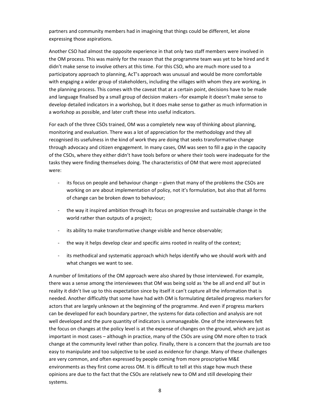partners and community members had in imagining that things could be different, let alone expressing those aspirations.

Another CSO had almost the opposite experience in that only two staff members were involved in the OM process. This was mainly for the reason that the programme team was yet to be hired and it didn't make sense to involve others at this time. For this CSO, who are much more used to a participatory approach to planning, AcT's approach was unusual and would be more comfortable with engaging a wider group of stakeholders, including the villages with whom they are working, in the planning process. This comes with the caveat that at a certain point, decisions have to be made and language finalised by a small group of decision makers –for example it doesn't make sense to develop detailed indicators in a workshop, but it does make sense to gather as much information in a workshop as possible, and later craft these into useful indicators.

For each of the three CSOs trained, OM was a completely new way of thinking about planning, monitoring and evaluation. There was a lot of appreciation for the methodology and they all recognised its usefulness in the kind of work they are doing that seeks transformative change through advocacy and citizen engagement. In many cases, OM was seen to fill a gap in the capacity of the CSOs, where they either didn't have tools before or where their tools were inadequate for the tasks they were finding themselves doing. The characteristics of OM that were most appreciated were:

- ‐ its focus on people and behaviour change given that many of the problems the CSOs are working on are about implementation of policy, not it's formulation, but also that all forms of change can be broken down to behaviour;
- ‐ the way it inspired ambition through its focus on progressive and sustainable change in the world rather than outputs of a project;
- ‐ its ability to make transformative change visible and hence observable;
- ‐ the way it helps develop clear and specific aims rooted in reality of the context;
- ‐ its methodical and systematic approach which helps identify who we should work with and what changes we want to see.

A number of limitations of the OM approach were also shared by those interviewed. For example, there was a sense among the interviewees that OM was being sold as 'the be all and end all' but in reality it didn't live up to this expectation since by itself it can't capture all the information that is needed. Another difficultly that some have had with OM is formulating detailed progress markers for actors that are largely unknown at the beginning of the programme. And even if progress markers can be developed for each boundary partner, the systems for data collection and analysis are not well developed and the pure quantity of indicators is unmanageable. One of the interviewees felt the focus on changes at the policy level is at the expense of changes on the ground, which are just as important in most cases – although in practice, many of the CSOs are using OM more often to track change at the community level rather than policy. Finally, there is a concern that the journals are too easy to manipulate and too subjective to be used as evidence for change. Many of these challenges are very common, and often expressed by people coming from more proscriptive M&E environments as they first come across OM. It is difficult to tell at this stage how much these opinions are due to the fact that the CSOs are relatively new to OM and still developing their systems.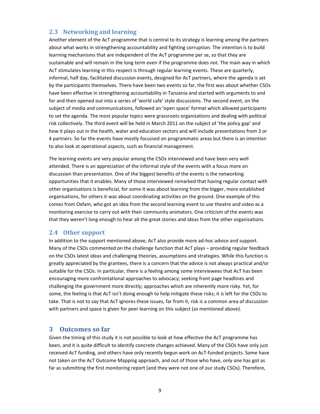#### **2.3 Networking and learning**

Another element of the AcT programme that is central to its strategy is learning among the partners about what works in strengthening accountability and fighting corruption. The intention is to build learning mechanisms that are independent of the AcT programme per se, so that they are sustainable and will remain in the long term even if the programme does not. The main way in which AcT stimulates learning in this respect is through regular learning events. These are quarterly, informal, half day, facilitated discussion events, designed for AcT partners, where the agenda is set by the participants themselves. There have been two events so far, the first was about whether CSOs have been effective in strengthening accountability in Tanzania and started with arguments to and for and then opened out into a series of 'world cafe' style discussions. The second event, on the subject of media and communications, followed an 'open space' format which allowed participants to set the agenda. The most popular topics were grassroots organizations and dealing with political risk collectively. The third event will be held in March 2011 on the subject of 'the policy gap' and how it plays out in the health, water and education sectors and will include presentations from 3 or 4 partners. So far the events have mostly focussed on programmatic areas but there is an intention to also look at operational aspects, such as financial management.

The learning events are very popular among the CSOs interviewed and have been very well attended. There is an appreciation of the informal style of the events with a focus more on discussion than presentation. One of the biggest benefits of the events is the networking opportunities that it enables. Many of those interviewed remarked that having regular contact with other organisations is beneficial, for some it was about learning from the bigger, more established organisations, for others it was about coordinating activities on the ground. One example of this comes from Oxfam, who got an idea from the second learning event to use theatre and video as a monitoring exercise to carry out with their community animators. One criticism of the events was that they weren't long enough to hear all the great stories and ideas from the other organisations.

#### **2.4 Other support**

In addition to the support mentioned above, AcT also provide more ad-hoc advice and support. Many of the CSOs commented on the challenge function that AcT plays – providing regular feedback on the CSOs latest ideas and challenging theories, assumptions and strategies. While this function is greatly appreciated by the grantees, there is a concern that the advice is not always practical and/or suitable for the CSOs. In particular, there is a feeling among some interviewees that AcT has been encouraging more confrontational approaches to advocacy; seeking front page headlines and challenging the government more directly; approaches which are inherently more risky. Yet, for some, the feeling is that AcT isn't doing enough to help mitigate these risks; it is left for the CSOs to take. That is not to say that AcT ignores these issues, far from it, risk is a common area of discussion with partners and space is given for peer learning on this subject (as mentioned above).

#### **3 Outcomes so far**

Given the timing of this study it is not possible to look at how effective the AcT programme has been, and it is quite difficult to identify concrete changes achieved. Many of the CSOs have only just received AcT funding, and others have only recently begun work on AcT-funded projects. Some have not taken on the AcT Outcome Mapping approach, and out of those who have, only one has got as far as submitting the first monitoring report (and they were not one of our study CSOs). Therefore,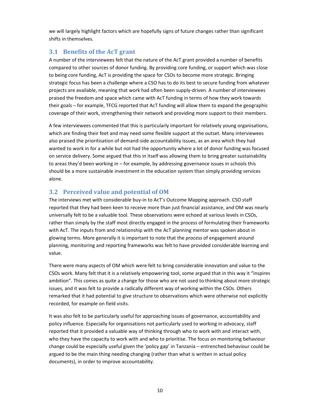we will largely highlight factors which are hopefully signs of future changes rather than significant shifts in themselves.

### **3.1 Benefits of the AcT grant**

A number of the interviewees felt that the nature of the AcT grant provided a number of benefits compared to other sources of donor funding. By providing core funding, or support which was close to being core funding, AcT is providing the space for CSOs to become more strategic. Bringing strategic focus has been a challenge where a CSO has to do its best to secure funding from whatever projects are available, meaning that work had often been supply‐driven. A number of interviewees praised the freedom and space which came with AcT funding in terms of how they work towards their goals – for example, TFCG reported that AcT funding will allow them to expand the geographic coverage of their work, strengthening their network and providing more support to their members.

A few interviewees commented that this is particularly important for relatively young organisations, which are finding their feet and may need some flexible support at the outset. Many interviewees also praised the prioritisation of demand‐side accountability issues, as an area which they had wanted to work in for a while but not had the opportunity where a lot of donor funding was focused on service delivery. Some argued that this in itself was allowing them to bring greater sustainability to areas they'd been working in – for example, by addressing governance issues in schools this should be a more sustainable investment in the education system than simply providing services alone.

## **3.2 Perceived value and potential of OM**

The interviews met with considerable buy‐in to AcT's Outcome Mapping approach. CSO staff reported that they had been keen to receive more than just financial assistance, and OM was nearly universally felt to be a valuable tool. These observations were echoed at various levels in CSOs, rather than simply by the staff most directly engaged in the process of formulating their frameworks with AcT. The inputs from and relationship with the AcT planning mentor was spoken about in glowing terms. More generally it is important to note that the *process* of engagement around planning, monitoring and reporting frameworks was felt to have provided considerable learning and value.

There were many aspects of OM which were felt to bring considerable innovation and value to the CSOs work. Many felt that it is a relatively empowering tool, some argued that in this way it "inspires ambition". This comes as quite a change for those who are not used to thinking about more strategic issues, and it was felt to provide a radically different way of working within the CSOs. Others remarked that it had potential to give structure to observations which were otherwise not explicitly recorded, for example on field visits.

It was also felt to be particularly useful for approaching issues of governance, accountability and policy influence. Especially for organisations not particularly used to working in advocacy, staff reported that it provided a valuable way of thinking through who to work with and interact with, who they have the capacity to work with and who to prioritise. The focus on monitoring behaviour change could be especially useful given the 'policy gap' in Tanzania – entrenched behaviour could be argued to be the main thing needing changing (rather than what is written in actual policy documents), in order to improve accountability.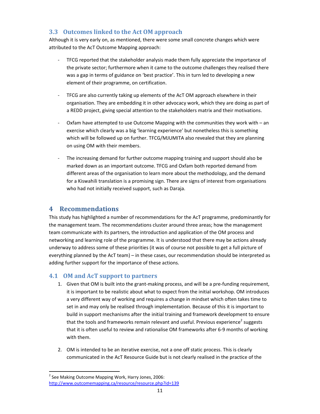# **3.3 Outcomes linked to the Act OM approach**

Although it is very early on, as mentioned, there were some small concrete changes which were attributed to the AcT Outcome Mapping approach:

- ‐ TFCG reported that the stakeholder analysis made them fully appreciate the importance of the private sector; furthermore when it came to the outcome challenges they realised there was a gap in terms of guidance on 'best practice'. This in turn led to developing a new element of their programme, on certification.
- ‐ TFCG are also currently taking up elements of the AcT OM approach elsewhere in their organisation. They are embedding it in other advocacy work, which they are doing as part of a REDD project, giving special attention to the stakeholders matrix and their motivations.
- Oxfam have attempted to use Outcome Mapping with the communities they work with an exercise which clearly was a big 'learning experience' but nonetheless this is something which will be followed up on further. TFCG/MJUMITA also revealed that they are planning on using OM with their members.
- ‐ The increasing demand for further outcome mapping training and support should also be marked down as an important outcome. TFCG and Oxfam both reported demand from different areas of the organisation to learn more about the methodology, and the demand for a Kiswahili translation is a promising sign. There are signs of interest from organisations who had not initially received support, such as Daraja.

## **4 Recommendations**

This study has highlighted a number of recommendations for the AcT programme, predominantly for the management team. The recommendations cluster around three areas; how the management team communicate with its partners, the introduction and application of the OM process and networking and learning role of the programme. It is understood that there may be actions already underway to address some of these priorities (it was of course not possible to get a full picture of everything planned by the AcT team) – in these cases, our recommendation should be interpreted as adding further support for the importance of these actions.

#### **4.1 OM and AcT support to partners**

- 1. Given that OM is built into the grant-making process, and will be a pre-funding requirement, it is important to be realistic about what to expect from the initial workshop. OM introduces a very different way of working and requires a change in mindset which often takes time to set in and may only be realised through implementation. Because of this it is important to build in support mechanisms after the initial training and framework development to ensure that the tools and frameworks remain relevant and useful. Previous experience<sup>2</sup> suggests that it is often useful to review and rationalise OM frameworks after 6‐9 months of working with them.
- 2. OM is intended to be an iterative exercise, not a one off static process. This is clearly communicated in the AcT Resource Guide but is not clearly realised in the practice of the

 <sup>2</sup> See Making Outcome Mapping Work, Harry Jones, 2006: http://www.outcomemapping.ca/resource/resource.php?id=139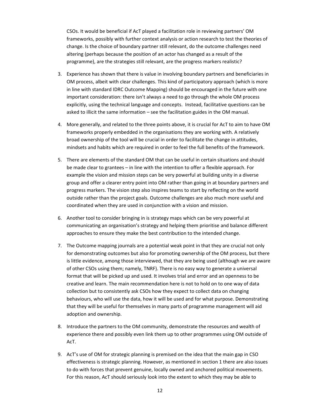CSOs. It would be beneficial if AcT played a facilitation role in reviewing partners' OM frameworks, possibly with further context analysis or action research to test the theories of change. Is the choice of boundary partner still relevant, do the outcome challenges need altering (perhaps because the position of an actor has changed as a result of the programme), are the strategies still relevant, are the progress markers realistic?

- 3. Experience has shown that there is value in involving boundary partners and beneficiaries in OM process, albeit with clear challenges. This kind of participatory approach (which is more in line with standard IDRC Outcome Mapping) should be encouraged in the future with one important consideration: there isn't always a need to go through the whole OM process explicitly, using the technical language and concepts. Instead, facilitative questions can be asked to illicit the same information – see the facilitation guides in the OM manual.
- 4. More generally, and related to the three points above, it is crucial for AcT to aim to have OM frameworks properly embedded in the organisations they are working with. A relatively broad ownership of the tool will be crucial in order to facilitate the change in attitudes, mindsets and habits which are required in order to feel the full benefits of the framework.
- 5. There are elements of the standard OM that can be useful in certain situations and should be made clear to grantees – in line with the intention to offer a flexible approach. For example the vision and mission steps can be very powerful at building unity in a diverse group and offer a clearer entry point into OM rather than going in at boundary partners and progress markers. The vision step also inspires teams to start by reflecting on the world outside rather than the project goals. Outcome challenges are also much more useful and coordinated when they are used in conjunction with a vision and mission.
- 6. Another tool to consider bringing in is strategy maps which can be very powerful at communicating an organisation's strategy and helping them prioritise and balance different approaches to ensure they make the best contribution to the intended change.
- 7. The Outcome mapping journals are a potential weak point in that they are crucial not only for demonstrating outcomes but also for promoting ownership of the OM process, but there is little evidence, among those interviewed, that they are being used (although we are aware of other CSOs using them; namely, TNRF). There is no easy way to generate a universal format that will be picked up and used. It involves trial and error and an openness to be creative and learn. The main recommendation here is not to hold on to one way of data collection but to consistently ask CSOs how they expect to collect data on changing behaviours, who will use the data, how it will be used and for what purpose. Demonstrating that they will be useful for themselves in many parts of programme management will aid adoption and ownership.
- 8. Introduce the partners to the OM community, demonstrate the resources and wealth of experience there and possibly even link them up to other programmes using OM outside of AcT.
- 9. AcT's use of OM for strategic planning is premised on the idea that the main gap in CSO effectiveness is strategic planning. However, as mentioned in section 1 there are also issues to do with forces that prevent genuine, locally owned and anchored political movements. For this reason, AcT should seriously look into the extent to which they may be able to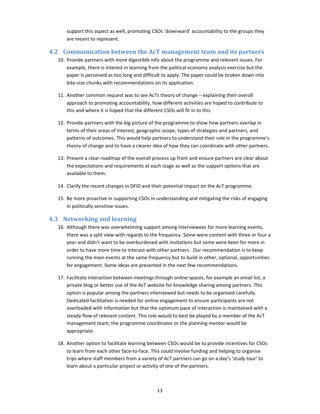support this aspect as well, promoting CSOs 'downward' accountability to the groups they are meant to represent.

#### **4.2 Communication between the AcT management team and its partners**

- 10. Provide partners with more digestible info about the programme and relevant issues. For example, there is interest in learning from the political economy analysis exercise but the paper is perceived as too long and difficult to apply. The paper could be broken down into bite-size chunks with recommendations on its application.
- 11. Another common request was to see AcTs theory of change explaining their overall approach to promoting accountability, how different activities are hoped to contribute to this and where it is hoped that the different CSOs will fit in to this.
- 12. Provide partners with the big picture of the programme to show how partners overlap in terms of their areas of interest, geographic scope, types of strategies and partners, and patterns of outcomes. This would help partners to understand their role in the programme's theory of change and to have a clearer idea of how they can coordinate with other partners.
- 13. Present a clear roadmap of the overall process up front and ensure partners are clear about the expectations and requirements at each stage as well as the support options that are available to them.
- 14. Clarify the recent changes in DFID and their potential impact on the AcT programme.
- 15. Be more proactive in supporting CSOs in understanding and mitigating the risks of engaging in politically sensitive issues.

#### **4.3 Networking and learning**

- 16. Although there was overwhelming support among interviewees for more learning events, there was a split view with regards to the frequency. Some were content with three or four a year and didn't want to be overburdened with invitations but some were keen for more in order to have more time to interact with other partners. Our recommendation is to keep running the main events at the same frequency but to build in other, optional, opportunities for engagement. Some ideas are presented in the next few recommendations.
- 17. Facilitate interaction between meetings through online spaces, for example an email list, a private blog or better use of the AcT website for knowledge sharing among partners. This option is popular among the partners interviewed but needs to be organised carefully. Dedicated facilitation is needed for online engagement to ensure participants are not overloaded with information but that the optimum pace of interaction is maintained with a steady flow of relevant content. This role would to best be played by a member of the AcT management team; the programme coordinator or the planning mentor would be appropriate.
- 18. Another option to facilitate learning between CSOs would be to provide incentives for CSOs to learn from each other face-to-face. This could involve funding and helping to organise trips where staff members from a variety of AcT partners can go on a day's 'study tour' to learn about a particular project or activity of one of the partners.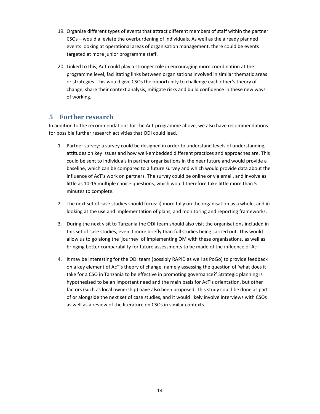- 19. Organise different types of events that attract different members of staff within the partner CSOs – would alleviate the overburdening of individuals. As well as the already planned events looking at operational areas of organisation management, there could be events targeted at more junior programme staff.
- 20. Linked to this, AcT could play a stronger role in encouraging more coordination at the programme level, facilitating links between organisations involved in similar thematic areas or strategies. This would give CSOs the opportunity to challenge each other's theory of change, share their context analysis, mitigate risks and build confidence in these new ways of working.

## **5 Further research**

In addition to the recommendations for the AcT programme above, we also have recommendations for possible further research activities that ODI could lead.

- 1. Partner survey: a survey could be designed in order to understand levels of understanding, attitudes on key issues and how well‐embedded different practices and approaches are. This could be sent to individuals in partner organisations in the near future and would provide a baseline, which can be compared to a future survey and which would provide data about the influence of AcT's work on partners. The survey could be online or via email, and involve as little as 10‐15 multiple choice questions, which would therefore take little more than 5 minutes to complete.
- 2. The next set of case studies should focus: i) more fully on the organisation as a whole, and ii) looking at the use and implementation of plans, and monitoring and reporting frameworks.
- 3. During the next visit to Tanzania the ODI team should also visit the organisations included in this set of case studies, even if more briefly than full studies being carried out. This would allow us to go along the 'journey' of implementing OM with these organisations, as well as bringing better comparability for future assessments to be made of the influence of AcT.
- 4. It may be interesting for the ODI team (possibly RAPID as well as PoGo) to provide feedback on a key element of AcT's theory of change, namely assessing the question of 'what does it take for a CSO in Tanzania to be effective in promoting governance?' Strategic planning is hypothesised to be an important need and the main basis for AcT's orientation, but other factors (such as local ownership) have also been proposed. This study could be done as part of or alongside the next set of case studies, and it would likely involve interviews with CSOs as well as a review of the literature on CSOs in similar contexts.